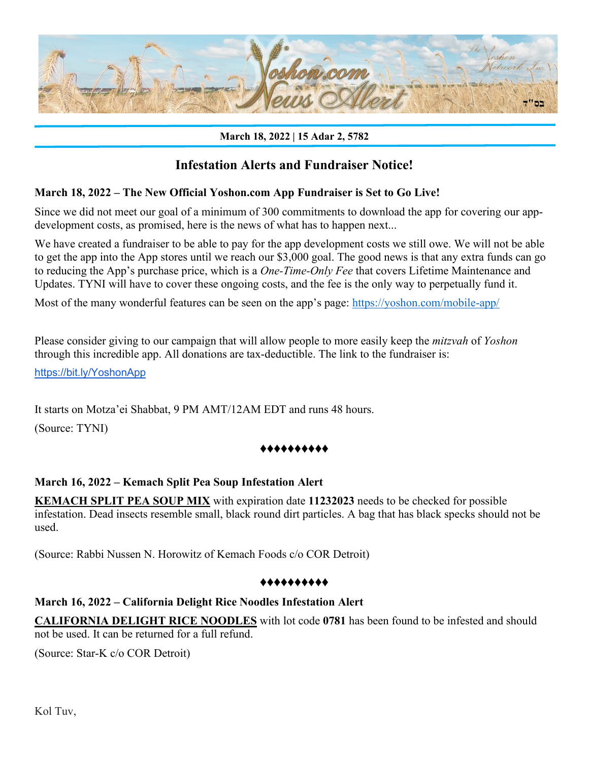

#### **March 18, 2022 | 15 Adar 2, 5782**

# **Infestation Alerts and Fundraiser Notice!**

### **March 18, 2022 – The New Official Yoshon.com App Fundraiser is Set to Go Live!**

Since we did not meet our goal of a minimum of 300 commitments to download the app for covering our appdevelopment costs, as promised, here is the news of what has to happen next...

We have created a fundraiser to be able to pay for the app development costs we still owe. We will not be able to get the app into the App stores until we reach our \$3,000 goal. The good news is that any extra funds can go to reducing the App's purchase price, which is a *One-Time-Only Fee* that covers Lifetime Maintenance and Updates. TYNI will have to cover these ongoing costs, and the fee is the only way to perpetually fund it.

Most of the many wonderful features can be seen on the app's page: <https://yoshon.com/mobile-app/>

Please consider giving to our campaign that will allow people to more easily keep the *mitzvah* of *Yoshon* through this incredible app. All donations are tax-deductible. The link to the fundraiser is:

<https://bit.ly/YoshonApp>

It starts on Motza'ei Shabbat, 9 PM AMT/12AM EDT and runs 48 hours.

(Source: TYNI)

#### ♦♦♦♦♦♦♦♦♦♦

#### **March 16, 2022 – Kemach Split Pea Soup Infestation Alert**

**KEMACH SPLIT PEA SOUP MIX** with expiration date **11232023** needs to be checked for possible infestation. Dead insects resemble small, black round dirt particles. A bag that has black specks should not be used.

(Source: Rabbi Nussen N. Horowitz of Kemach Foods c/o COR Detroit)

#### ♦♦♦♦♦♦♦♦♦♦

#### **March 16, 2022 – California Delight Rice Noodles Infestation Alert**

**CALIFORNIA DELIGHT RICE NOODLES** with lot code **0781** has been found to be infested and should not be used. It can be returned for a full refund.

(Source: Star-K c/o COR Detroit)